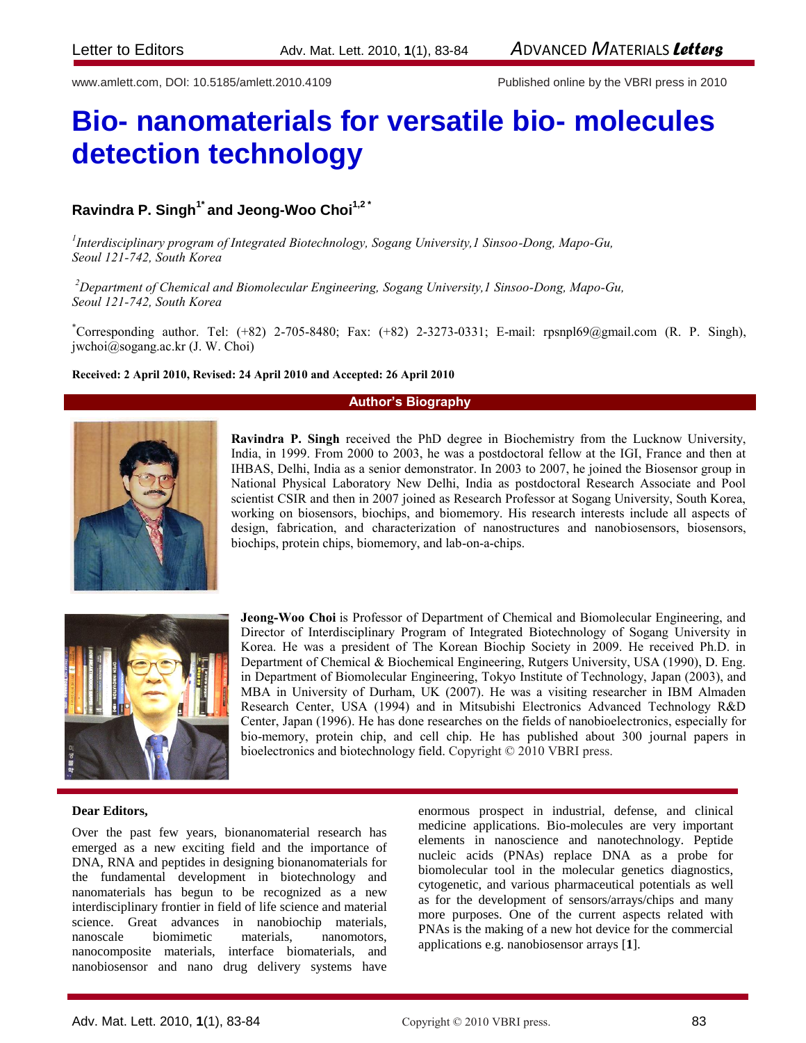www.amlett.com, DOI: 10.5185/amlett.2010.4109 Published online by the VBRI press in 2010

# **Bio- nanomaterials for versatile bio- molecules detection technology**

# **Ravindra P. Singh1\* and Jeong-Woo Choi1,2 \***

*1 Interdisciplinary program of Integrated Biotechnology, Sogang University,1 Sinsoo-Dong, Mapo-Gu, Seoul 121-742, South Korea*

*<sup>2</sup>Department of Chemical and Biomolecular Engineering, Sogang University,1 Sinsoo-Dong, Mapo-Gu, Seoul 121-742, South Korea*

\*Corresponding author. Tel: (+82) 2-705-8480; Fax: (+82) 2-3273-0331; E-mail: [rpsnpl69@gmail.com](mailto:rpsnpl69@gmail.com) (R. P. Singh), [jwchoi@sogang.ac.kr](mailto:jwchoi@sogang.ac.kr) (J. W. Choi)

### **Received: 2 April 2010, Revised: 24 April 2010 and Accepted: 26 April 2010**

# **Author's Biography**



**Ravindra P. Singh** received the PhD degree in Biochemistry from the Lucknow University, India, in 1999. From 2000 to 2003, he was a postdoctoral fellow at the IGI, France and then at IHBAS, Delhi, India as a senior demonstrator. In 2003 to 2007, he joined the Biosensor group in National Physical Laboratory New Delhi, India as postdoctoral Research Associate and Pool scientist CSIR and then in 2007 joined as Research Professor at Sogang University, South Korea, working on biosensors, biochips, and biomemory. His research interests include all aspects of design, fabrication, and characterization of nanostructures and nanobiosensors, biosensors, biochips, protein chips, biomemory, and lab-on-a-chips.



**Jeong-Woo Choi** is Professor of Department of Chemical and Biomolecular Engineering, and Director of Interdisciplinary Program of Integrated Biotechnology of Sogang University in Korea. He was a president of The Korean Biochip Society in 2009. He received Ph.D. in Department of Chemical & Biochemical Engineering, Rutgers University, USA (1990), D. Eng. in Department of Biomolecular Engineering, Tokyo Institute of Technology, Japan (2003), and MBA in University of Durham, UK (2007). He was a visiting researcher in IBM Almaden Research Center, USA (1994) and in Mitsubishi Electronics Advanced Technology R&D Center, Japan (1996). He has done researches on the fields of nanobioelectronics, especially for bio-memory, protein chip, and cell chip. He has published about 300 journal papers in bioelectronics and biotechnology field. Copyright © 2010 VBRI press.

### **Dear Editors,**

Over the past few years, bionanomaterial research has emerged as a new exciting field and the importance of DNA, RNA and peptides in designing bionanomaterials for the fundamental development in biotechnology and nanomaterials has begun to be recognized as a new interdisciplinary frontier in field of life science and material science. Great advances in nanobiochip materials, nanoscale biomimetic materials, nanomotors, nanocomposite materials, interface biomaterials, and nanobiosensor and nano drug delivery systems have

enormous prospect in industrial, defense, and clinical medicine applications. Bio-molecules are very important elements in nanoscience and nanotechnology. Peptide nucleic acids (PNAs) replace DNA as a probe for biomolecular tool in the molecular genetics diagnostics, cytogenetic, and various pharmaceutical potentials as well as for the development of sensors/arrays/chips and many more purposes. One of the current aspects related with PNAs is the making of a new hot device for the commercial applications e.g. nanobiosensor arrays [**1**].